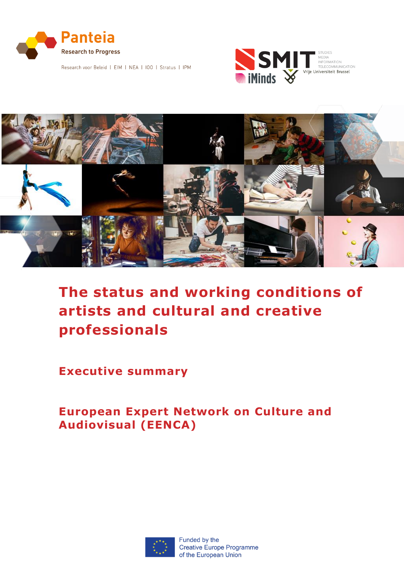

Research voor Beleid | EIM | NEA | IOO | Stratus | IPM





# **The status and working conditions of artists and cultural and creative professionals**

**Executive summary**

**European Expert Network on Culture and Audiovisual (EENCA)**

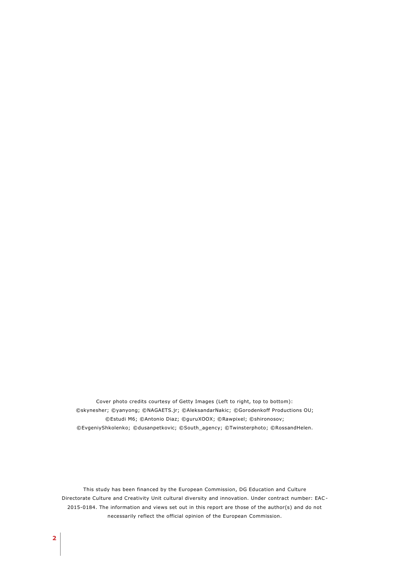Cover photo credits courtesy of Getty Images (Left to right, top to bottom): ©skynesher; ©yanyong; ©NAGAETS.jr; ©AleksandarNakic; ©Gorodenkoff Productions OU; ©Estudi M6; ©Antonio Diaz; ©guruXOOX; ©Rawpixel; ©shironosov; ©EvgeniyShkolenko; ©dusanpetkovic; ©South\_agency; ©Twinsterphoto; ©RossandHelen.

This study has been financed by the European Commission, DG Education and Culture Directorate Culture and Creativity Unit cultural diversity and innovation. Under contract number: EAC-2015-0184. The information and views set out in this report are those of the author(s) and do not necessarily reflect the official opinion of the European Commission.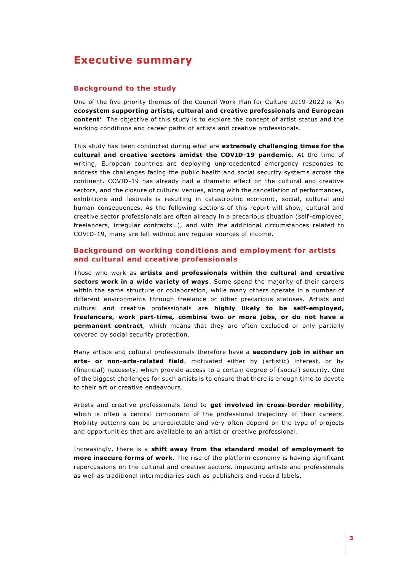# **Executive summary**

# **Background to the study**

One of the five priority themes of the Council Work Plan for Culture 2019-2022 is 'An **ecosystem supporting artists, cultural and creative professionals and European content'**. The objective of this study is to explore the concept of artist status and the working conditions and career paths of artists and creative professionals.

This study has been conducted during what are **extremely challenging times for the cultural and creative sectors amidst the COVID-19 pandemic**. At the time of writing, European countries are deploying unprecedented emergency responses to address the challenges facing the public health and social security systems across the continent. COVID-19 has already had a dramatic effect on the cultural and creative sectors, and the closure of cultural venues, along with the cancellation of performances, exhibitions and festivals is resulting in catastrophic economic, social, cultural and human consequences. As the following sections of this report will show, cultural and creative sector professionals are often already in a precarious situation (self -employed, freelancers, irregular contracts…), and with the additional circumstances related to COVID-19, many are left without any regular sources of income.

# **Background on working conditions and employment for artists and cultural and creative professionals**

Those who work as **artists and professionals within the cultural and creative sectors work in a wide variety of ways**. Some spend the majority of their careers within the same structure or collaboration, while many others operate in a number of different environments through freelance or other precarious statuses. Artists and cultural and creative professionals are **highly likely to be self-employed, freelancers, work part-time, combine two or more jobs, or do not have a permanent contract**, which means that they are often excluded or only partially covered by social security protection.

Many artists and cultural professionals therefore have a **secondary job in either an arts- or non-arts-related field**, motivated either by (artistic) interest, or by (financial) necessity, which provide access to a certain degree of (social) security. One of the biggest challenges for such artists is to ensure that there is enough time to devote to their art or creative endeavours.

Artists and creative professionals tend to **get involved in cross-border mobility**, which is often a central component of the professional trajectory of their careers. Mobility patterns can be unpredictable and very often depend on the type of projects and opportunities that are available to an artist or creative professional.

Increasingly, there is a **shift away from the standard model of employment to more insecure forms of work.** The rise of the platform economy is having significant repercussions on the cultural and creative sectors, impacting artists and professionals as well as traditional intermediaries such as publishers and record labels.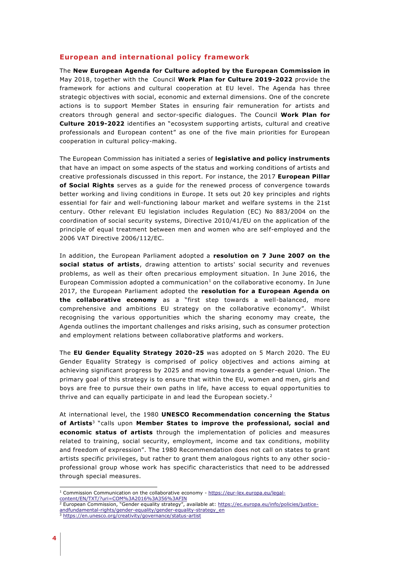# **European and international policy framework**

The **New European Agenda for Culture adopted by the European Commission in**  May 2018, together with the Council **Work Plan for Culture 2019-2022** provide the framework for actions and cultural cooperation at EU level. The Agenda has three strategic objectives with social, economic and external dimensions. One of the concrete actions is to support Member States in ensuring fair remuneration for artists and creators through general and sector-specific dialogues. The Council **Work Plan for Culture 2019-2022** identifies an "ecosystem supporting artists, cultural and creative professionals and European content" as one of the five main priorities for European cooperation in cultural policy-making.

The European Commission has initiated a series of **legislative and policy instruments** that have an impact on some aspects of the status and working conditions of artists and creative professionals discussed in this report. For instance, the 2017 **European Pillar of Social Rights** serves as a guide for the renewed process of convergence towards better working and living conditions in Europe. It sets out 20 key principles and rights essential for fair and well-functioning labour market and welfare systems in the 21st century. Other relevant EU legislation includes Regulation (EC) No 883/2004 on the coordination of social security systems, Directive 2010/41/EU on the application of the principle of equal treatment between men and women who are self-employed and the 2006 VAT Directive 2006/112/EC.

In addition, the European Parliament adopted a **resolution on 7 June 2007 on the social status of artists**, drawing attention to artists' social security and revenues problems, as well as their often precarious employment situation. In June 2016, the European Commission adopted a communication<sup>1</sup> on the collaborative economy. In June 2017, the European Parliament adopted the **resolution for a European Agenda on the collaborative economy** as a "first step towards a well-balanced, more comprehensive and ambitions EU strategy on the collaborative economy". Whilst recognising the various opportunities which the sharing economy may create, the Agenda outlines the important challenges and risks arising, such as consumer protection and employment relations between collaborative platforms and workers.

The **EU Gender Equality Strategy 2020-25** was adopted on 5 March 2020. The EU Gender Equality Strategy is comprised of policy objectives and actions aiming at achieving significant progress by 2025 and moving towards a gender-equal Union. The primary goal of this strategy is to ensure that within the EU, women and men, girls and boys are free to pursue their own paths in life, have access to equal opportunities to thrive and can equally participate in and lead the European society.<sup>2</sup>

At international level, the 1980 **UNESCO Recommendation concerning the Status of Artists**<sup>3</sup> "calls upon **Member States to improve the professional, social and economic status of artists** through the implementation of policies and measures related to training, social security, employment, income and tax conditions, mobility and freedom of expression". The 1980 Recommendation does not call on states to grant artists specific privileges, but rather to grant them analogous rights to any other socioprofessional group whose work has specific characteristics that need to be addressed through special measures.

-

<sup>&</sup>lt;sup>1</sup> Commission Communication on the collaborative economy - [https://eur-lex.europa.eu/legal](https://eur-lex.europa.eu/legal-content/EN/TXT/?uri=COM%3A2016%3A356%3AFIN)content/EN/TXT/?uri=Content/En/TXT/?uri=Content/EN/TXT/?uri=Communication<br>
2 European Communication NG

European Commission, "Gender equality strategy", available at: [https://ec.europa.eu/info/policies/justice-](https://ec.europa.eu/info/policies/justice-andfundamental-rights/gender-equality/gender-equality-strategy_en)

[andfundamental-rights/gender-equality/gender-equality-strategy\\_en](https://ec.europa.eu/info/policies/justice-andfundamental-rights/gender-equality/gender-equality-strategy_en)

<sup>3</sup> <https://en.unesco.org/creativity/governance/status-artist>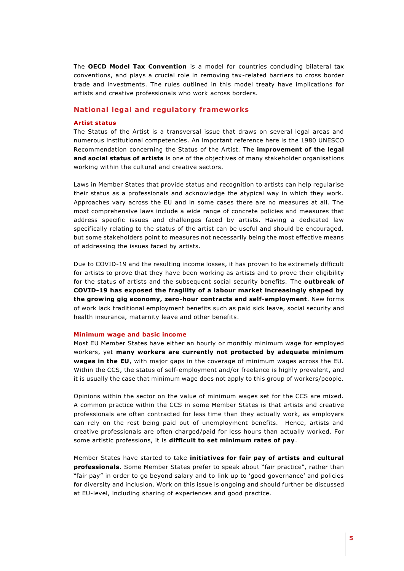The **OECD Model Tax Convention** is a model for countries concluding bilateral tax conventions, and plays a crucial role in removing tax-related barriers to cross border trade and investments. The rules outlined in this model treaty have implications for artists and creative professionals who work across borders.

# **National legal and regulatory frameworks**

#### **Artist status**

The Status of the Artist is a transversal issue that draws on several legal areas and numerous institutional competencies. An important reference here is the 1980 UNESCO Recommendation concerning the Status of the Artist. The **improvement of the legal and social status of artists** is one of the objectives of many stakeholder organisations working within the cultural and creative sectors.

Laws in Member States that provide status and recognition to artists can help regularise their status as a professionals and acknowledge the atypical way in which they work. Approaches vary across the EU and in some cases there are no measures at all. The most comprehensive laws include a wide range of concrete policies and measures that address specific issues and challenges faced by artists. Having a dedicated law specifically relating to the status of the artist can be useful and should be encouraged, but some stakeholders point to measures not necessarily being the most effective means of addressing the issues faced by artists.

Due to COVID-19 and the resulting income losses, it has proven to be extremely difficult for artists to prove that they have been working as artists and to prove their eligibility for the status of artists and the subsequent social security benefits. The **outbreak of COVID-19 has exposed the fragility of a labour market increasingly shaped by the growing gig economy, zero-hour contracts and self-employment**. New forms of work lack traditional employment benefits such as paid sick leave, social security and health insurance, maternity leave and other benefits.

#### **Minimum wage and basic income**

Most EU Member States have either an hourly or monthly minimum wage for employed workers, yet **many workers are currently not protected by adequate minimum wages in the EU**, with major gaps in the coverage of minimum wages across the EU. Within the CCS, the status of self-employment and/or freelance is highly prevalent, and it is usually the case that minimum wage does not apply to this group of workers/people.

Opinions within the sector on the value of minimum wages set for the CCS are mixed. A common practice within the CCS in some Member States is that artists and creative professionals are often contracted for less time than they actually work, as employers can rely on the rest being paid out of unemployment benefits. Hence, artists and creative professionals are often charged/paid for less hours than actually worked. For some artistic professions, it is **difficult to set minimum rates of pay**.

Member States have started to take **initiatives for fair pay of artists and cultural professionals**. Some Member States prefer to speak about "fair practice", rather than "fair pay" in order to go beyond salary and to link up to 'good governance' and policies for diversity and inclusion. Work on this issue is ongoing and should further be discussed at EU-level, including sharing of experiences and good practice.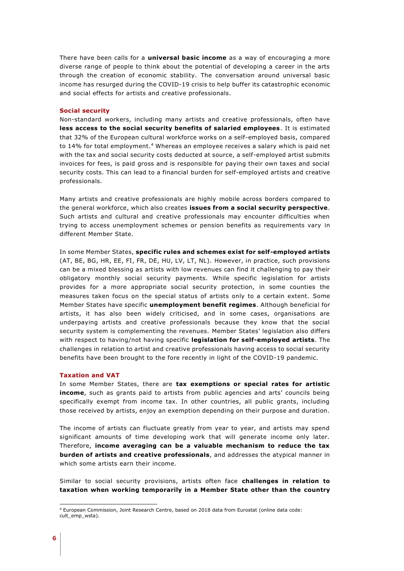There have been calls for a **universal basic income** as a way of encouraging a more diverse range of people to think about the potential of developing a career in the arts through the creation of economic stability. The conversation around universal basic income has resurged during the COVID-19 crisis to help buffer its catastrophic economic and social effects for artists and creative professionals.

#### **Social security**

Non-standard workers, including many artists and creative professionals, often have **less access to the social security benefits of salaried employees**. It is estimated that 32% of the European cultural workforce works on a self-employed basis, compared to 14% for total employment.<sup>4</sup> Whereas an employee receives a salary which is paid net with the tax and social security costs deducted at source, a self-employed artist submits invoices for fees, is paid gross and is responsible for paying their own taxes and social security costs. This can lead to a financial burden for self-employed artists and creative professionals.

Many artists and creative professionals are highly mobile across borders compared to the general workforce, which also creates **issues from a social security perspective**. Such artists and cultural and creative professionals may encounter difficulties when trying to access unemployment schemes or pension benefits as requirements vary in different Member State.

In some Member States, **specific rules and schemes exist for self-employed artists**  (AT, BE, BG, HR, EE, FI, FR, DE, HU, LV, LT, NL). However, in practice, such provisions can be a mixed blessing as artists with low revenues can find it challenging to pay their obligatory monthly social security payments. While specific legislation for artists provides for a more appropriate social security protection, in some counties the measures taken focus on the special status of artists only to a certain extent. Some Member States have specific **unemployment benefit regimes**. Although beneficial for artists, it has also been widely criticised, and in some cases, organisations are underpaying artists and creative professionals because they know that the social security system is complementing the revenues. Member States' legislation also differs with respect to having/not having specific **legislation for self-employed artists**. The challenges in relation to artist and creative professionals having access to social security benefits have been brought to the fore recently in light of the COVID-19 pandemic.

#### **Taxation and VAT**

In some Member States, there are **tax exemptions or special rates for artistic income**, such as grants paid to artists from public agencies and arts' councils being specifically exempt from income tax. In other countries, all public grants, including those received by artists, enjoy an exemption depending on their purpose and duration.

The income of artists can fluctuate greatly from year to year, and artists may spend significant amounts of time developing work that will generate income only later. Therefore, **income averaging can be a valuable mechanism to reduce the tax burden of artists and creative professionals**, and addresses the atypical manner in which some artists earn their income.

Similar to social security provisions, artists often face **challenges in relation to taxation when working temporarily in a Member State other than the country** 

1

<sup>4</sup> European Commission, Joint Research Centre, based on 2018 data from Eurostat (online data code: cult\_emp\_wsta).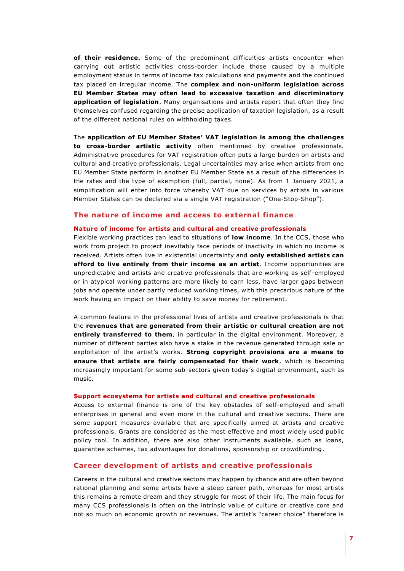**of their residence.** Some of the predominant difficulties artists encounter when carrying out artistic activities cross-border include those caused by a multiple employment status in terms of income tax calculations and payments and the continued tax placed on irregular income. The **complex and non-uniform legislation across EU Member States may often lead to excessive taxation and discriminatory application of legislation**. Many organisations and artists report that often they find themselves confused regarding the precise application of taxation legislation, as a result of the different national rules on withholding taxes.

The **application of EU Member States' VAT legislation is among the challenges to cross-border artistic activity** often mentioned by creative professionals. Administrative procedures for VAT registration often puts a large burden on artists and cultural and creative professionals. Legal uncertainties may arise when artists from one EU Member State perform in another EU Member State as a result of the differences in the rates and the type of exemption (full, partial, none). As from 1 January 2021, a simplification will enter into force whereby VAT due on services by artists in various Member States can be declared via a single VAT registration ("One-Stop-Shop").

# **The nature of income and access to external finance**

#### **Nature of income for artists and cultural and creative professionals**

Flexible working practices can lead to situations of **low income**. In the CCS, those who work from project to project inevitably face periods of inactivity in which no income is received. Artists often live in existential uncertainty and **only established artists can afford to live entirely from their income as an artist**. Income opportunities are unpredictable and artists and creative professionals that are working as self-employed or in atypical working patterns are more likely to earn less, have larger gaps between jobs and operate under partly reduced working times, with this precarious nature of the work having an impact on their ability to save money for retirement.

A common feature in the professional lives of artists and creative professionals is that the **revenues that are generated from their artistic or cultural creation are not entirely transferred to them**, in particular in the digital environment. Moreover, a number of different parties also have a stake in the revenue generated through sale or exploitation of the artist's works. **Strong copyright provisions are a means to ensure that artists are fairly compensated for their work**, which is becoming increasingly important for some sub-sectors given today's digital environment, such as music.

#### **Support ecosystems for artists and cultural and creative professionals**

Access to external finance is one of the key obstacles of self-employed and small enterprises in general and even more in the cultural and creative sectors. There are some support measures available that are specifically aimed at artists and creative professionals. Grants are considered as the most effective and most widely used public policy tool. In addition, there are also other instruments available, such as loans, guarantee schemes, tax advantages for donations, sponsorship or crowdfunding.

#### **Career development of artists and creative professionals**

Careers in the cultural and creative sectors may happen by chance and are often beyond rational planning and some artists have a steep career path, whereas for most artists this remains a remote dream and they struggle for most of their life. The main focus for many CCS professionals is often on the intrinsic value of culture or creative core and not so much on economic growth or revenues. The artist's "career choice" therefore is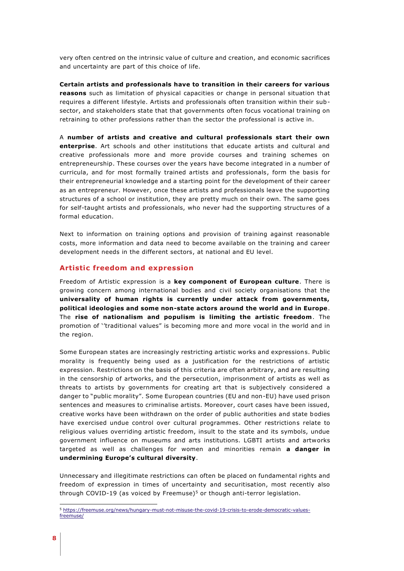very often centred on the intrinsic value of culture and creation, and economic sacrifices and uncertainty are part of this choice of life.

**Certain artists and professionals have to transition in their careers for various reasons** such as limitation of physical capacities or change in personal situation that requires a different lifestyle. Artists and professionals often transition within their subsector, and stakeholders state that that governments often focus vocational training on retraining to other professions rather than the sector the professional is active in.

A **number of artists and creative and cultural professionals start their own enterprise**. Art schools and other institutions that educate artists and cultural and creative professionals more and more provide courses and training schemes on entrepreneurship. These courses over the years have become integrated in a number of curricula, and for most formally trained artists and professionals, form the basis for their entrepreneurial knowledge and a starting point for the development of their career as an entrepreneur. However, once these artists and professionals leave the supporting structures of a school or institution, they are pretty much on their own. The same goes for self-taught artists and professionals, who never had the supporting structures of a formal education.

Next to information on training options and provision of training against reasonable costs, more information and data need to become available on the training and career development needs in the different sectors, at national and EU level.

#### **Artistic freedom and expression**

Freedom of Artistic expression is a **key component of European culture**. There is growing concern among international bodies and civil society organisations that the **universality of human rights is currently under attack from governments, political ideologies and some non-state actors around the world and in Europe**. The **rise of nationalism and populism is limiting the artistic freedom**. The promotion of ''traditional values" is becoming more and more vocal in the world and in the region.

Some European states are increasingly restricting artistic works and expressions. Public morality is frequently being used as a justification for the restrictions of artistic expression. Restrictions on the basis of this criteria are often arbitrary, and are resulting in the censorship of artworks, and the persecution, imprisonment of artists as well as threats to artists by governments for creating art that is subjectively considered a danger to "public morality". Some European countries (EU and non-EU) have used prison sentences and measures to criminalise artists. Moreover, court cases have been issued, creative works have been withdrawn on the order of public authorities and state bodies have exercised undue control over cultural programmes. Other restrictions relate to religious values overriding artistic freedom, insult to the state and its symbols, undue government influence on museums and arts institutions. LGBTI artists and artworks targeted as well as challenges for women and minorities remain **a danger in undermining Europe's cultural diversity**.

Unnecessary and illegitimate restrictions can often be placed on fundamental rights and freedom of expression in times of uncertainty and securitisation, most recently also through COVID-19 (as voiced by Freemuse)<sup>5</sup> or though anti-terror legislation.

1

<sup>5</sup> [https://freemuse.org/news/hungary-must-not-misuse-the-covid-19-crisis-to-erode-democratic-values](https://freemuse.org/news/hungary-must-not-misuse-the-covid-19-crisis-to-erode-democratic-values-freemuse/)[freemuse/](https://freemuse.org/news/hungary-must-not-misuse-the-covid-19-crisis-to-erode-democratic-values-freemuse/)